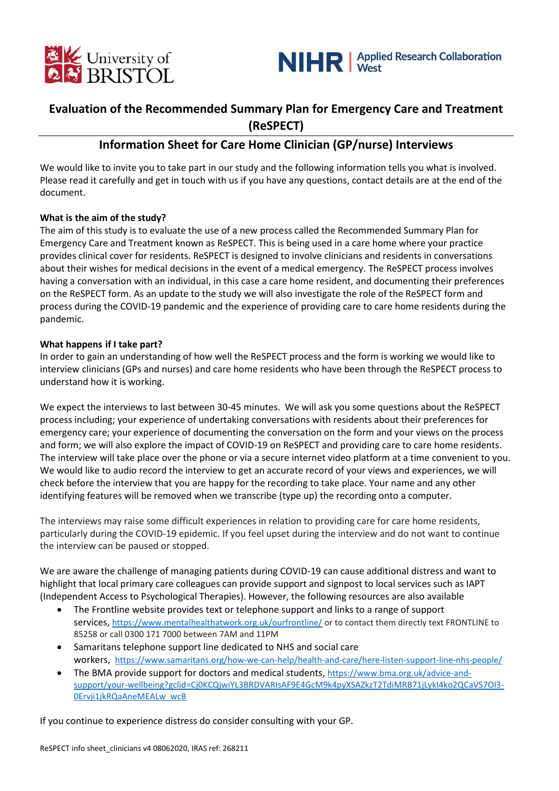



# **Evaluation of the Recommended Summary Plan for Emergency Care and Treatment (ReSPECT)**

# **Information Sheet for Care Home Clinician (GP/nurse) Interviews**

We would like to invite you to take part in our study and the following information tells you what is involved. Please read it carefully and get in touch with us if you have any questions, contact details are at the end of the document.

# **What is the aim of the study?**

The aim of this study is to evaluate the use of a new process called the Recommended Summary Plan for Emergency Care and Treatment known as ReSPECT. This is being used in a care home where your practice provides clinical cover for residents. ReSPECT is designed to involve clinicians and residents in conversations about their wishes for medical decisions in the event of a medical emergency. The ReSPECT process involves having a conversation with an individual, in this case a care home resident, and documenting their preferences on the ReSPECT form. As an update to the study we will also investigate the role of the ReSPECT form and process during the COVID-19 pandemic and the experience of providing care to care home residents during the pandemic.

#### **What happens if I take part?**

In order to gain an understanding of how well the ReSPECT process and the form is working we would like to interview clinicians (GPs and nurses) and care home residents who have been through the ReSPECT process to understand how it is working.

We expect the interviews to last between 30-45 minutes. We will ask you some questions about the ReSPECT process including; your experience of undertaking conversations with residents about their preferences for emergency care; your experience of documenting the conversation on the form and your views on the process and form; we will also explore the impact of COVID-19 on ReSPECT and providing care to care home residents. The interview will take place over the phone or via a secure internet video platform at a time convenient to you. We would like to audio record the interview to get an accurate record of your views and experiences, we will check before the interview that you are happy for the recording to take place. Your name and any other identifying features will be removed when we transcribe (type up) the recording onto a computer.

The interviews may raise some difficult experiences in relation to providing care for care home residents, particularly during the COVID-19 epidemic. If you feel upset during the interview and do not want to continue the interview can be paused or stopped.

We are aware the challenge of managing patients during COVID-19 can cause additional distress and want to highlight that local primary care colleagues can provide support and signpost to local services such as IAPT (Independent Access to Psychological Therapies). However, the following resources are also available

- The Frontline website provides text or telephone support and links to a range of support services, <https://www.mentalhealthatwork.org.uk/ourfrontline/> or to contact them directly text FRONTLINE to 85258 or call 0300 171 7000 between 7AM and 11PM
- Samaritans telephone support line dedicated to NHS and social care workers, <https://www.samaritans.org/how-we-can-help/health-and-care/here-listen-support-line-nhs-people/>
- The BMA provide support for doctors and medical students, [https://www.bma.org.uk/advice-and](https://www.bma.org.uk/advice-and-support/your-wellbeing?gclid=Cj0KCQjwiYL3BRDVARIsAF9E4GcM9k4pyXSAZkzT2TdiMRB71jLykI4ko2QCaVS7OI3-0Ervji1jkRQaAneMEALw_wcB)[support/your-wellbeing?gclid=Cj0KCQjwiYL3BRDVARIsAF9E4GcM9k4pyXSAZkzT2TdiMRB71jLykI4ko2QCaVS7OI3-](https://www.bma.org.uk/advice-and-support/your-wellbeing?gclid=Cj0KCQjwiYL3BRDVARIsAF9E4GcM9k4pyXSAZkzT2TdiMRB71jLykI4ko2QCaVS7OI3-0Ervji1jkRQaAneMEALw_wcB) [0Ervji1jkRQaAneMEALw\\_wcB](https://www.bma.org.uk/advice-and-support/your-wellbeing?gclid=Cj0KCQjwiYL3BRDVARIsAF9E4GcM9k4pyXSAZkzT2TdiMRB71jLykI4ko2QCaVS7OI3-0Ervji1jkRQaAneMEALw_wcB)

If you continue to experience distress do consider consulting with your GP.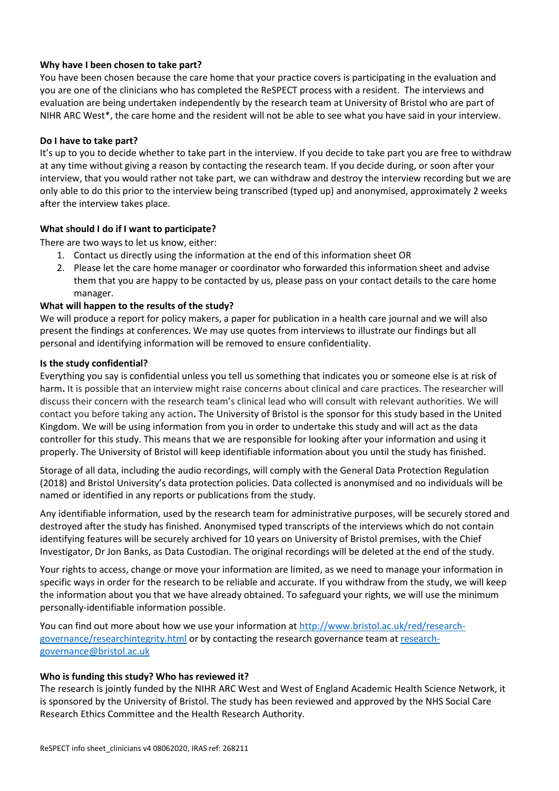# **Why have I been chosen to take part?**

You have been chosen because the care home that your practice covers is participating in the evaluation and you are one of the clinicians who has completed the ReSPECT process with a resident. The interviews and evaluation are being undertaken independently by the research team at University of Bristol who are part of NIHR ARC West\*, the care home and the resident will not be able to see what you have said in your interview.

### **Do I have to take part?**

It's up to you to decide whether to take part in the interview. If you decide to take part you are free to withdraw at any time without giving a reason by contacting the research team. If you decide during, or soon after your interview, that you would rather not take part, we can withdraw and destroy the interview recording but we are only able to do this prior to the interview being transcribed (typed up) and anonymised, approximately 2 weeks after the interview takes place.

# **What should I do if I want to participate?**

There are two ways to let us know, either:

- 1. Contact us directly using the information at the end of this information sheet OR
- 2. Please let the care home manager or coordinator who forwarded this information sheet and advise them that you are happy to be contacted by us, please pass on your contact details to the care home manager.

# **What will happen to the results of the study?**

We will produce a report for policy makers, a paper for publication in a health care journal and we will also present the findings at conferences. We may use quotes from interviews to illustrate our findings but all personal and identifying information will be removed to ensure confidentiality.

#### **Is the study confidential?**

Everything you say is confidential unless you tell us something that indicates you or someone else is at risk of harm**.** It is possible that an interview might raise concerns about clinical and care practices. The researcher will discuss their concern with the research team's clinical lead who will consult with relevant authorities. We will contact you before taking any action**.** The University of Bristol is the sponsor for this study based in the United Kingdom. We will be using information from you in order to undertake this study and will act as the data controller for this study. This means that we are responsible for looking after your information and using it properly. The University of Bristol will keep identifiable information about you until the study has finished.

Storage of all data, including the audio recordings, will comply with the General Data Protection Regulation (2018) and Bristol University's data protection policies. Data collected is anonymised and no individuals will be named or identified in any reports or publications from the study.

Any identifiable information, used by the research team for administrative purposes, will be securely stored and destroyed after the study has finished. Anonymised typed transcripts of the interviews which do not contain identifying features will be securely archived for 10 years on University of Bristol premises, with the Chief Investigator, Dr Jon Banks, as Data Custodian. The original recordings will be deleted at the end of the study.

Your rights to access, change or move your information are limited, as we need to manage your information in specific ways in order for the research to be reliable and accurate. If you withdraw from the study, we will keep the information about you that we have already obtained. To safeguard your rights, we will use the minimum personally-identifiable information possible.

You can find out more about how we use your information at [http://www.bristol.ac.uk/red/research](http://www.bristol.ac.uk/red/research-governance/researchintegrity.html)[governance/researchintegrity.html](http://www.bristol.ac.uk/red/research-governance/researchintegrity.html) or by contacting the research governance team a[t research](mailto:research-governance@bristol.ac.uk)[governance@bristol.ac.uk](mailto:research-governance@bristol.ac.uk)

#### **Who is funding this study? Who has reviewed it?**

The research is jointly funded by the NIHR ARC West and West of England Academic Health Science Network, it is sponsored by the University of Bristol. The study has been reviewed and approved by the NHS Social Care Research Ethics Committee and the Health Research Authority.